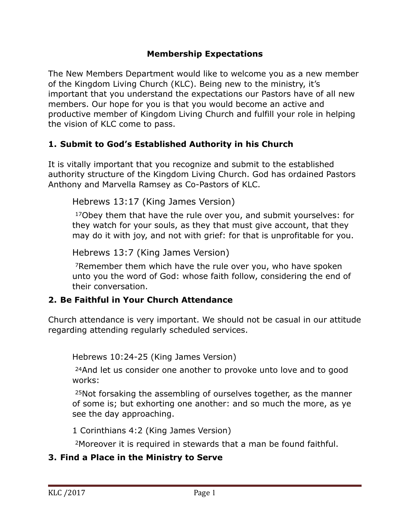#### **Membership Expectations**

The New Members Department would like to welcome you as a new member of the Kingdom Living Church (KLC). Being new to the ministry, it's important that you understand the expectations our Pastors have of all new members. Our hope for you is that you would become an active and productive member of Kingdom Living Church and fulfill your role in helping the vision of KLC come to pass.

#### **1. Submit to God's Established Authority in his Church**

It is vitally important that you recognize and submit to the established authority structure of the Kingdom Living Church. God has ordained Pastors Anthony and Marvella Ramsey as Co-Pastors of KLC.

Hebrews 13:17 (King James Version)

17Obey them that have the rule over you, and submit yourselves: for they watch for your souls, as they that must give account, that they may do it with joy, and not with grief: for that is unprofitable for you.

Hebrews 13:7 (King James Version)

7Remember them which have the rule over you, who have spoken unto you the word of God: whose faith follow, considering the end of their conversation.

## **2. Be Faithful in Your Church Attendance**

Church attendance is very important. We should not be casual in our attitude regarding attending regularly scheduled services.

Hebrews 10:24-25 (King James Version)

24And let us consider one another to provoke unto love and to good works:

25Not forsaking the assembling of ourselves together, as the manner of some is; but exhorting one another: and so much the more, as ye see the day approaching.

1 Corinthians 4:2 (King James Version)

2Moreover it is required in stewards that a man be found faithful.

## **3. Find a Place in the Ministry to Serve**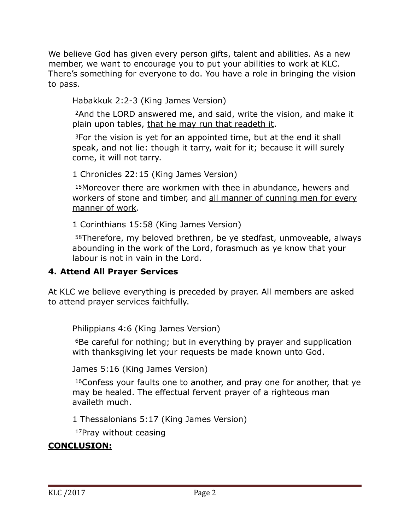We believe God has given every person gifts, talent and abilities. As a new member, we want to encourage you to put your abilities to work at KLC. There's something for everyone to do. You have a role in bringing the vision to pass.

Habakkuk 2:2-3 (King James Version)

2And the LORD answered me, and said, write the vision, and make it plain upon tables, that he may run that readeth it.

3For the vision is yet for an appointed time, but at the end it shall speak, and not lie: though it tarry, wait for it; because it will surely come, it will not tarry.

1 Chronicles 22:15 (King James Version)

15Moreover there are workmen with thee in abundance, hewers and workers of stone and timber, and all manner of cunning men for every manner of work.

1 Corinthians 15:58 (King James Version)

58Therefore, my beloved brethren, be ye stedfast, unmoveable, always abounding in the work of the Lord, forasmuch as ye know that your labour is not in vain in the Lord.

## **4. Attend All Prayer Services**

At KLC we believe everything is preceded by prayer. All members are asked to attend prayer services faithfully.

Philippians 4:6 (King James Version)

6Be careful for nothing; but in everything by prayer and supplication with thanksgiving let your requests be made known unto God.

James 5:16 (King James Version)

16Confess your faults one to another, and pray one for another, that ye may be healed. The effectual fervent prayer of a righteous man availeth much.

1 Thessalonians 5:17 (King James Version)

17Pray without ceasing

# **CONCLUSION:**